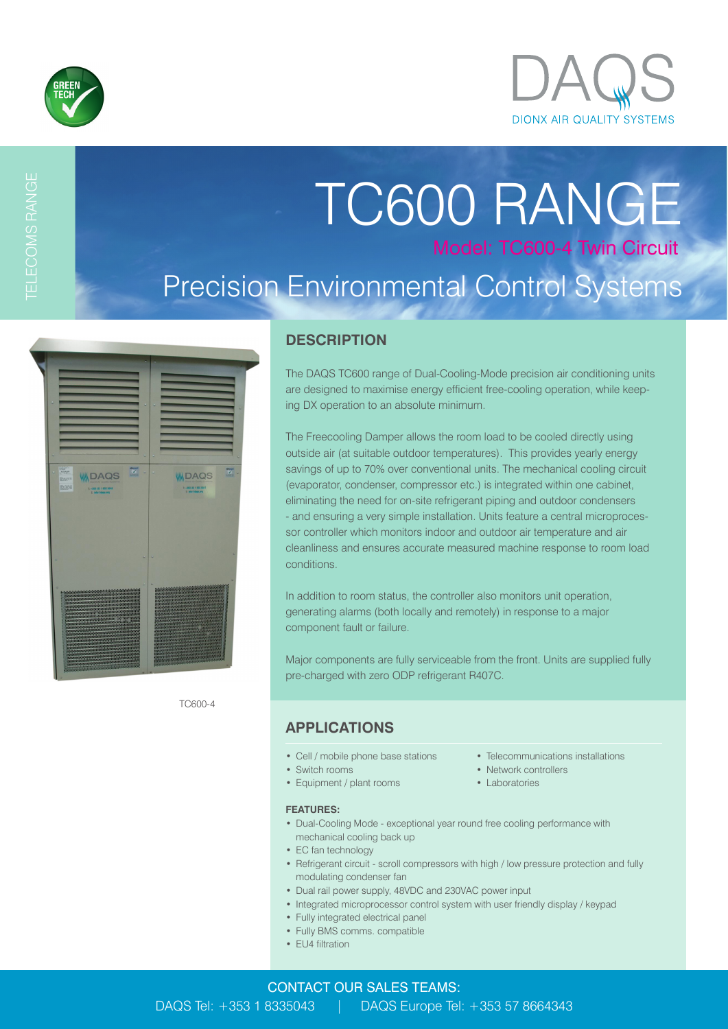

TELECOMS RANGE

# TC600 RANGE Model: TC600-4 Twin Circuit Precision Environmental Control Systems

| 49.9                                                                                                                                                                               |                                                                    |                         |
|------------------------------------------------------------------------------------------------------------------------------------------------------------------------------------|--------------------------------------------------------------------|-------------------------|
| $\mathbf{z}$<br><b>MOAGHT</b><br><b>IIII</b> DAQS<br>EASTER<br><b>BS990</b><br>T: +353 (0) 1 833 5043<br>E My Haguard                                                              | <b>WIDAQS</b><br>1: +253 (2) 1 833 5041<br><b>C. Mail Cost Ave</b> | $\overline{\textbf{y}}$ |
|                                                                                                                                                                                    |                                                                    |                         |
|                                                                                                                                                                                    |                                                                    |                         |
| , 1919–1919–1919–1919–1919–1919–1919<br>,,,,,,,,,,,,,,,,,,,,,,,,,,,,,,,,,,<br>vokokokokokokokokokok (sp. 1907)<br>Kanananananananananananananana<br>,,,,,,,,,,,,,,,,,,,,,,,,,,,,,, |                                                                    |                         |
|                                                                                                                                                                                    |                                                                    |                         |

TC600-4

**DESCRIPTION**

The DAQS TC600 range of Dual-Cooling-Mode precision air conditioning units are designed to maximise energy efficient free-cooling operation, while keeping DX operation to an absolute minimum.

The Freecooling Damper allows the room load to be cooled directly using outside air (at suitable outdoor temperatures). This provides yearly energy savings of up to 70% over conventional units. The mechanical cooling circuit (evaporator, condenser, compressor etc.) is integrated within one cabinet, eliminating the need for on-site refrigerant piping and outdoor condensers - and ensuring a very simple installation. Units feature a central microprocessor controller which monitors indoor and outdoor air temperature and air cleanliness and ensures accurate measured machine response to room load conditions.

In addition to room status, the controller also monitors unit operation, generating alarms (both locally and remotely) in response to a major component fault or failure.

Major components are fully serviceable from the front. Units are supplied fully pre-charged with zero ODP refrigerant R407C.

## **APPLICATIONS**

- 
- Switch rooms Network controllers
- Equipment / plant rooms Laboratories
- **FEATURES:**
- Dual-Cooling Mode exceptional year round free cooling performance with mechanical cooling back up
- EC fan technology
- Refrigerant circuit scroll compressors with high / low pressure protection and fully modulating condenser fan
- Dual rail power supply, 48VDC and 230VAC power input
- Integrated microprocessor control system with user friendly display / keypad
- Fully integrated electrical panel
- Fully BMS comms. compatible
- EU4 filtration
- Cell / mobile phone base stations Telecommunications installations
	-
	-